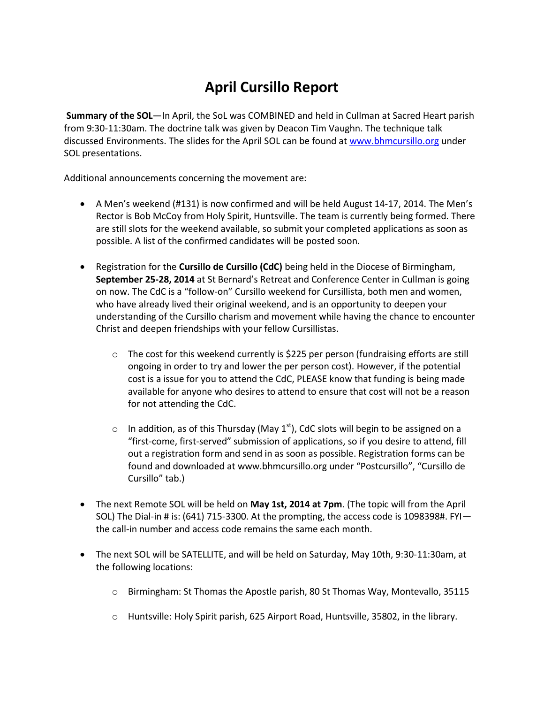## **April Cursillo Report**

**Summary of the SOL**—In April, the SoL was COMBINED and held in Cullman at Sacred Heart parish from 9:30-11:30am. The doctrine talk was given by Deacon Tim Vaughn. The technique talk discussed Environments. The slides for the April SOL can be found at [www.bhmcursillo.org](http://www.bhmcursillo.org/) under SOL presentations.

Additional announcements concerning the movement are:

- A Men's weekend (#131) is now confirmed and will be held August 14-17, 2014. The Men's Rector is Bob McCoy from Holy Spirit, Huntsville. The team is currently being formed. There are still slots for the weekend available, so submit your completed applications as soon as possible. A list of the confirmed candidates will be posted soon.
- Registration for the **Cursillo de Cursillo (CdC)** being held in the Diocese of Birmingham, **September 25-28, 2014** at St Bernard's Retreat and Conference Center in Cullman is going on now. The CdC is a "follow-on" Cursillo weekend for Cursillista, both men and women, who have already lived their original weekend, and is an opportunity to deepen your understanding of the Cursillo charism and movement while having the chance to encounter Christ and deepen friendships with your fellow Cursillistas.
	- $\circ$  The cost for this weekend currently is \$225 per person (fundraising efforts are still ongoing in order to try and lower the per person cost). However, if the potential cost is a issue for you to attend the CdC, PLEASE know that funding is being made available for anyone who desires to attend to ensure that cost will not be a reason for not attending the CdC.
	- o In addition, as of this Thursday (May  $1<sup>st</sup>$ ), CdC slots will begin to be assigned on a "first-come, first-served" submission of applications, so if you desire to attend, fill out a registration form and send in as soon as possible. Registration forms can be found and downloaded at www.bhmcursillo.org under "Postcursillo", "Cursillo de Cursillo" tab.)
- The next Remote SOL will be held on **May 1st, 2014 at 7pm**. (The topic will from the April SOL) The Dial-in # is: (641) 715-3300. At the prompting, the access code is 1098398#. FYI the call-in number and access code remains the same each month.
- The next SOL will be SATELLITE, and will be held on Saturday, May 10th, 9:30-11:30am, at the following locations:
	- o Birmingham: St Thomas the Apostle parish, 80 St Thomas Way, Montevallo, 35115
	- $\circ$  Huntsville: Holy Spirit parish, 625 Airport Road, Huntsville, 35802, in the library.